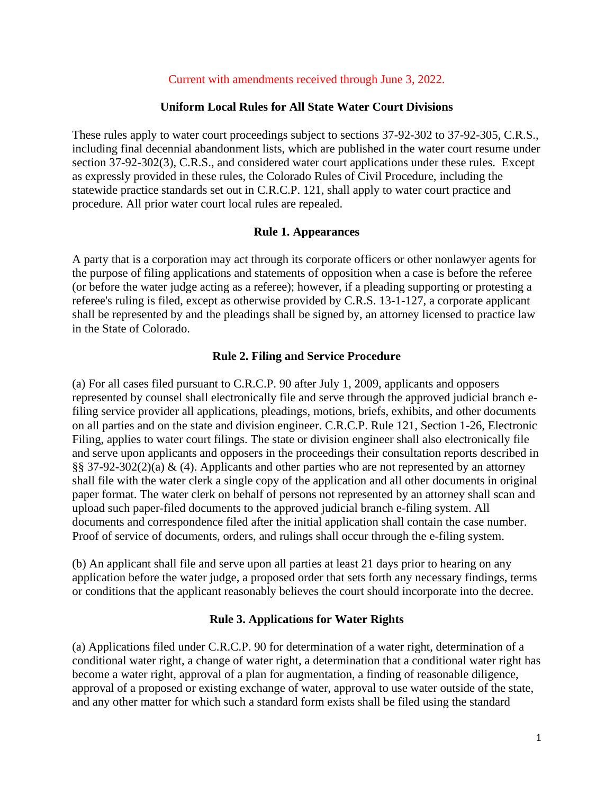#### Current with amendments received through June 3, 2022.

#### **Uniform Local Rules for All State Water Court Divisions**

These rules apply to water court proceedings subject to sections 37-92-302 to 37-92-305, C.R.S., including final decennial abandonment lists, which are published in the water court resume under section 37-92-302(3), C.R.S., and considered water court applications under these rules. Except as expressly provided in these rules, the Colorado Rules of Civil Procedure, including the statewide practice standards set out in C.R.C.P. 121, shall apply to water court practice and procedure. All prior water court local rules are repealed.

#### **Rule 1. Appearances**

A party that is a corporation may act through its corporate officers or other nonlawyer agents for the purpose of filing applications and statements of opposition when a case is before the referee (or before the water judge acting as a referee); however, if a pleading supporting or protesting a referee's ruling is filed, except as otherwise provided by C.R.S. 13-1-127, a corporate applicant shall be represented by and the pleadings shall be signed by, an attorney licensed to practice law in the State of Colorado.

#### **Rule 2. Filing and Service Procedure**

(a) For all cases filed pursuant to C.R.C.P. 90 after July 1, 2009, applicants and opposers represented by counsel shall electronically file and serve through the approved judicial branch efiling service provider all applications, pleadings, motions, briefs, exhibits, and other documents on all parties and on the state and division engineer. C.R.C.P. Rule 121, Section 1-26, Electronic Filing, applies to water court filings. The state or division engineer shall also electronically file and serve upon applicants and opposers in the proceedings their consultation reports described in §§ 37-92-302(2)(a) & (4). Applicants and other parties who are not represented by an attorney shall file with the water clerk a single copy of the application and all other documents in original paper format. The water clerk on behalf of persons not represented by an attorney shall scan and upload such paper-filed documents to the approved judicial branch e-filing system. All documents and correspondence filed after the initial application shall contain the case number. Proof of service of documents, orders, and rulings shall occur through the e-filing system.

(b) An applicant shall file and serve upon all parties at least 21 days prior to hearing on any application before the water judge, a proposed order that sets forth any necessary findings, terms or conditions that the applicant reasonably believes the court should incorporate into the decree.

#### **Rule 3. Applications for Water Rights**

(a) Applications filed under C.R.C.P. 90 for determination of a water right, determination of a conditional water right, a change of water right, a determination that a conditional water right has become a water right, approval of a plan for augmentation, a finding of reasonable diligence, approval of a proposed or existing exchange of water, approval to use water outside of the state, and any other matter for which such a standard form exists shall be filed using the standard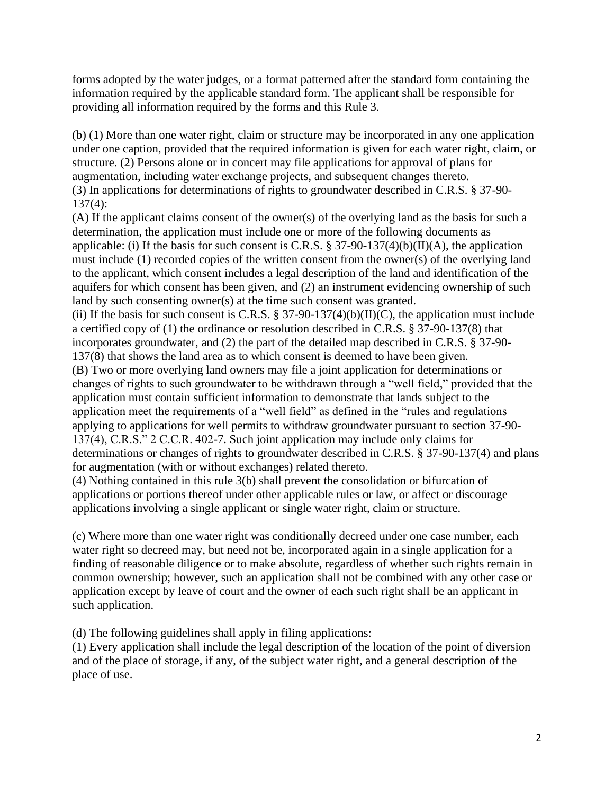forms adopted by the water judges, or a format patterned after the standard form containing the information required by the applicable standard form. The applicant shall be responsible for providing all information required by the forms and this Rule 3.

(b) (1) More than one water right, claim or structure may be incorporated in any one application under one caption, provided that the required information is given for each water right, claim, or structure. (2) Persons alone or in concert may file applications for approval of plans for augmentation, including water exchange projects, and subsequent changes thereto. (3) In applications for determinations of rights to groundwater described in C.R.S. § 37-90- 137(4):

(A) If the applicant claims consent of the owner(s) of the overlying land as the basis for such a determination, the application must include one or more of the following documents as applicable: (i) If the basis for such consent is C.R.S.  $\S 37-90-137(4)(b)(II)(A)$ , the application must include (1) recorded copies of the written consent from the owner(s) of the overlying land to the applicant, which consent includes a legal description of the land and identification of the aquifers for which consent has been given, and (2) an instrument evidencing ownership of such land by such consenting owner(s) at the time such consent was granted.

(ii) If the basis for such consent is C.R.S.  $\S 37-90-137(4)(b)(II)(C)$ , the application must include a certified copy of (1) the ordinance or resolution described in C.R.S. § 37-90-137(8) that incorporates groundwater, and (2) the part of the detailed map described in C.R.S. § 37-90- 137(8) that shows the land area as to which consent is deemed to have been given.

(B) Two or more overlying land owners may file a joint application for determinations or changes of rights to such groundwater to be withdrawn through a "well field," provided that the application must contain sufficient information to demonstrate that lands subject to the application meet the requirements of a "well field" as defined in the "rules and regulations applying to applications for well permits to withdraw groundwater pursuant to section 37-90- 137(4), C.R.S." 2 C.C.R. 402-7. Such joint application may include only claims for determinations or changes of rights to groundwater described in C.R.S. § 37-90-137(4) and plans for augmentation (with or without exchanges) related thereto.

(4) Nothing contained in this rule 3(b) shall prevent the consolidation or bifurcation of applications or portions thereof under other applicable rules or law, or affect or discourage applications involving a single applicant or single water right, claim or structure.

(c) Where more than one water right was conditionally decreed under one case number, each water right so decreed may, but need not be, incorporated again in a single application for a finding of reasonable diligence or to make absolute, regardless of whether such rights remain in common ownership; however, such an application shall not be combined with any other case or application except by leave of court and the owner of each such right shall be an applicant in such application.

(d) The following guidelines shall apply in filing applications:

(1) Every application shall include the legal description of the location of the point of diversion and of the place of storage, if any, of the subject water right, and a general description of the place of use.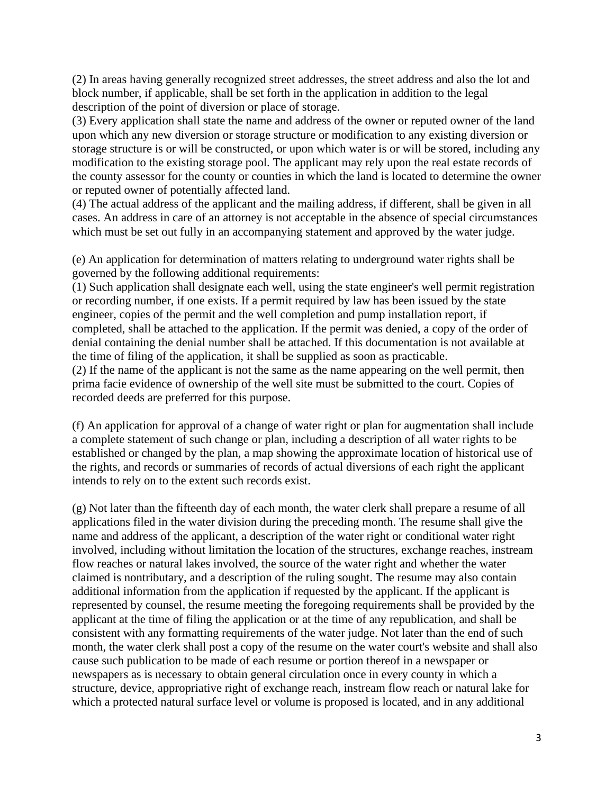(2) In areas having generally recognized street addresses, the street address and also the lot and block number, if applicable, shall be set forth in the application in addition to the legal description of the point of diversion or place of storage.

(3) Every application shall state the name and address of the owner or reputed owner of the land upon which any new diversion or storage structure or modification to any existing diversion or storage structure is or will be constructed, or upon which water is or will be stored, including any modification to the existing storage pool. The applicant may rely upon the real estate records of the county assessor for the county or counties in which the land is located to determine the owner or reputed owner of potentially affected land.

(4) The actual address of the applicant and the mailing address, if different, shall be given in all cases. An address in care of an attorney is not acceptable in the absence of special circumstances which must be set out fully in an accompanying statement and approved by the water judge.

(e) An application for determination of matters relating to underground water rights shall be governed by the following additional requirements:

(1) Such application shall designate each well, using the state engineer's well permit registration or recording number, if one exists. If a permit required by law has been issued by the state engineer, copies of the permit and the well completion and pump installation report, if completed, shall be attached to the application. If the permit was denied, a copy of the order of denial containing the denial number shall be attached. If this documentation is not available at the time of filing of the application, it shall be supplied as soon as practicable.

(2) If the name of the applicant is not the same as the name appearing on the well permit, then prima facie evidence of ownership of the well site must be submitted to the court. Copies of recorded deeds are preferred for this purpose.

(f) An application for approval of a change of water right or plan for augmentation shall include a complete statement of such change or plan, including a description of all water rights to be established or changed by the plan, a map showing the approximate location of historical use of the rights, and records or summaries of records of actual diversions of each right the applicant intends to rely on to the extent such records exist.

(g) Not later than the fifteenth day of each month, the water clerk shall prepare a resume of all applications filed in the water division during the preceding month. The resume shall give the name and address of the applicant, a description of the water right or conditional water right involved, including without limitation the location of the structures, exchange reaches, instream flow reaches or natural lakes involved, the source of the water right and whether the water claimed is nontributary, and a description of the ruling sought. The resume may also contain additional information from the application if requested by the applicant. If the applicant is represented by counsel, the resume meeting the foregoing requirements shall be provided by the applicant at the time of filing the application or at the time of any republication, and shall be consistent with any formatting requirements of the water judge. Not later than the end of such month, the water clerk shall post a copy of the resume on the water court's website and shall also cause such publication to be made of each resume or portion thereof in a newspaper or newspapers as is necessary to obtain general circulation once in every county in which a structure, device, appropriative right of exchange reach, instream flow reach or natural lake for which a protected natural surface level or volume is proposed is located, and in any additional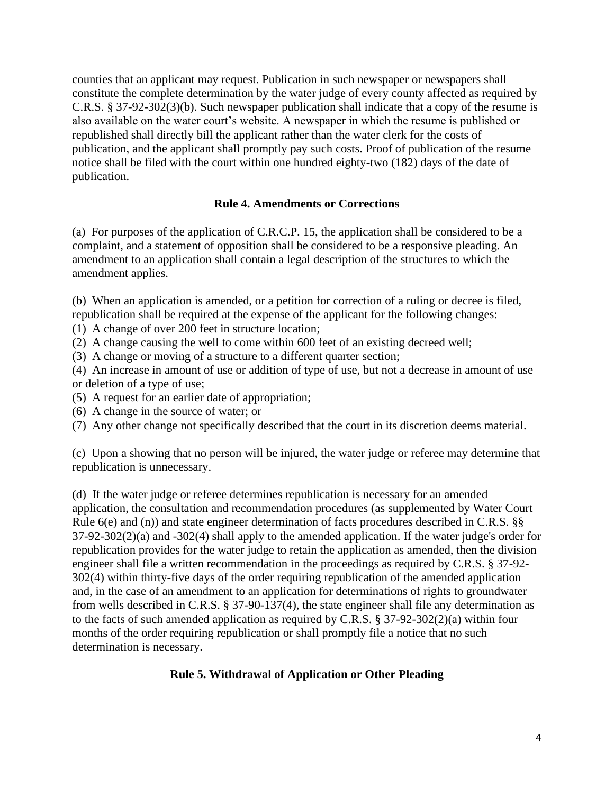counties that an applicant may request. Publication in such newspaper or newspapers shall constitute the complete determination by the water judge of every county affected as required by C.R.S. § 37-92-302(3)(b). Such newspaper publication shall indicate that a copy of the resume is also available on the water court's website. A newspaper in which the resume is published or republished shall directly bill the applicant rather than the water clerk for the costs of publication, and the applicant shall promptly pay such costs. Proof of publication of the resume notice shall be filed with the court within one hundred eighty-two (182) days of the date of publication.

## **Rule 4. Amendments or Corrections**

(a) For purposes of the application of C.R.C.P. 15, the application shall be considered to be a complaint, and a statement of opposition shall be considered to be a responsive pleading. An amendment to an application shall contain a legal description of the structures to which the amendment applies.

(b) When an application is amended, or a petition for correction of a ruling or decree is filed, republication shall be required at the expense of the applicant for the following changes:

- (1) A change of over 200 feet in structure location;
- (2) A change causing the well to come within 600 feet of an existing decreed well;
- (3) A change or moving of a structure to a different quarter section;

(4) An increase in amount of use or addition of type of use, but not a decrease in amount of use or deletion of a type of use;

- (5) A request for an earlier date of appropriation;
- (6) A change in the source of water; or
- (7) Any other change not specifically described that the court in its discretion deems material.

(c) Upon a showing that no person will be injured, the water judge or referee may determine that republication is unnecessary.

(d) If the water judge or referee determines republication is necessary for an amended application, the consultation and recommendation procedures (as supplemented by Water Court Rule 6(e) and (n)) and state engineer determination of facts procedures described in C.R.S. §§ 37-92-302(2)(a) and -302(4) shall apply to the amended application. If the water judge's order for republication provides for the water judge to retain the application as amended, then the division engineer shall file a written recommendation in the proceedings as required by C.R.S. § 37-92- 302(4) within thirty-five days of the order requiring republication of the amended application and, in the case of an amendment to an application for determinations of rights to groundwater from wells described in C.R.S. § 37-90-137(4), the state engineer shall file any determination as to the facts of such amended application as required by C.R.S. § 37-92-302(2)(a) within four months of the order requiring republication or shall promptly file a notice that no such determination is necessary.

### **Rule 5. Withdrawal of Application or Other Pleading**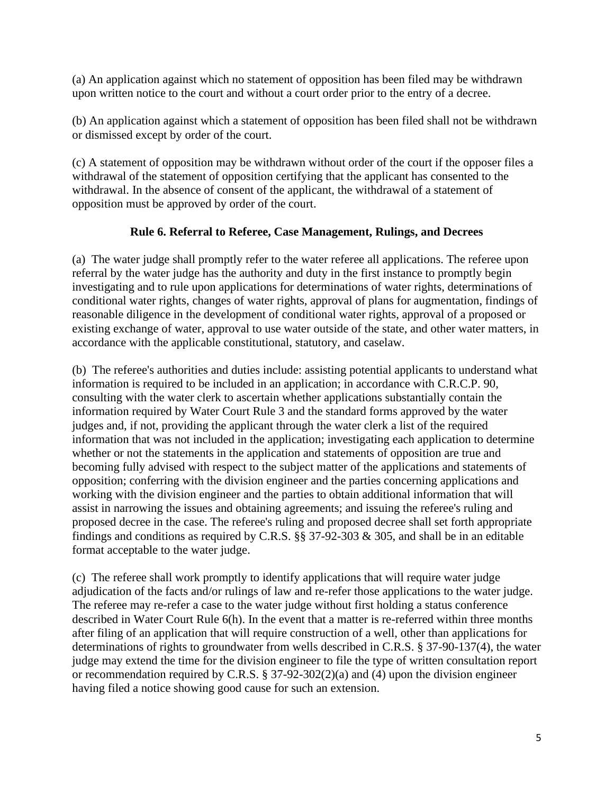(a) An application against which no statement of opposition has been filed may be withdrawn upon written notice to the court and without a court order prior to the entry of a decree.

(b) An application against which a statement of opposition has been filed shall not be withdrawn or dismissed except by order of the court.

(c) A statement of opposition may be withdrawn without order of the court if the opposer files a withdrawal of the statement of opposition certifying that the applicant has consented to the withdrawal. In the absence of consent of the applicant, the withdrawal of a statement of opposition must be approved by order of the court.

## **Rule 6. Referral to Referee, Case Management, Rulings, and Decrees**

(a) The water judge shall promptly refer to the water referee all applications. The referee upon referral by the water judge has the authority and duty in the first instance to promptly begin investigating and to rule upon applications for determinations of water rights, determinations of conditional water rights, changes of water rights, approval of plans for augmentation, findings of reasonable diligence in the development of conditional water rights, approval of a proposed or existing exchange of water, approval to use water outside of the state, and other water matters, in accordance with the applicable constitutional, statutory, and caselaw.

(b) The referee's authorities and duties include: assisting potential applicants to understand what information is required to be included in an application; in accordance with C.R.C.P. 90, consulting with the water clerk to ascertain whether applications substantially contain the information required by Water Court Rule 3 and the standard forms approved by the water judges and, if not, providing the applicant through the water clerk a list of the required information that was not included in the application; investigating each application to determine whether or not the statements in the application and statements of opposition are true and becoming fully advised with respect to the subject matter of the applications and statements of opposition; conferring with the division engineer and the parties concerning applications and working with the division engineer and the parties to obtain additional information that will assist in narrowing the issues and obtaining agreements; and issuing the referee's ruling and proposed decree in the case. The referee's ruling and proposed decree shall set forth appropriate findings and conditions as required by C.R.S. §§ 37-92-303 & 305, and shall be in an editable format acceptable to the water judge.

(c) The referee shall work promptly to identify applications that will require water judge adjudication of the facts and/or rulings of law and re-refer those applications to the water judge. The referee may re-refer a case to the water judge without first holding a status conference described in Water Court Rule 6(h). In the event that a matter is re-referred within three months after filing of an application that will require construction of a well, other than applications for determinations of rights to groundwater from wells described in C.R.S. § 37-90-137(4), the water judge may extend the time for the division engineer to file the type of written consultation report or recommendation required by C.R.S. § 37-92-302(2)(a) and  $\overline{4}$ ) upon the division engineer having filed a notice showing good cause for such an extension.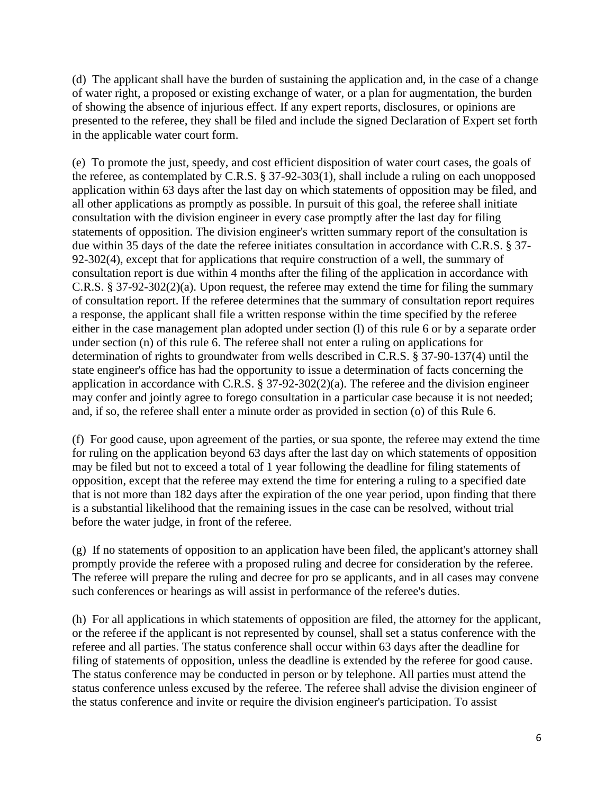(d) The applicant shall have the burden of sustaining the application and, in the case of a change of water right, a proposed or existing exchange of water, or a plan for augmentation, the burden of showing the absence of injurious effect. If any expert reports, disclosures, or opinions are presented to the referee, they shall be filed and include the signed Declaration of Expert set forth in the applicable water court form.

(e) To promote the just, speedy, and cost efficient disposition of water court cases, the goals of the referee, as contemplated by C.R.S. § 37-92-303(1), shall include a ruling on each unopposed application within 63 days after the last day on which statements of opposition may be filed, and all other applications as promptly as possible. In pursuit of this goal, the referee shall initiate consultation with the division engineer in every case promptly after the last day for filing statements of opposition. The division engineer's written summary report of the consultation is due within 35 days of the date the referee initiates consultation in accordance with C.R.S. § 37- 92-302(4), except that for applications that require construction of a well, the summary of consultation report is due within 4 months after the filing of the application in accordance with C.R.S. § 37-92-302(2)(a). Upon request, the referee may extend the time for filing the summary of consultation report. If the referee determines that the summary of consultation report requires a response, the applicant shall file a written response within the time specified by the referee either in the case management plan adopted under section (l) of this rule 6 or by a separate order under section (n) of this rule 6. The referee shall not enter a ruling on applications for determination of rights to groundwater from wells described in C.R.S. § 37-90-137(4) until the state engineer's office has had the opportunity to issue a determination of facts concerning the application in accordance with C.R.S. § 37-92-302(2)(a). The referee and the division engineer may confer and jointly agree to forego consultation in a particular case because it is not needed; and, if so, the referee shall enter a minute order as provided in section (o) of this Rule 6.

(f) For good cause, upon agreement of the parties, or sua sponte, the referee may extend the time for ruling on the application beyond 63 days after the last day on which statements of opposition may be filed but not to exceed a total of 1 year following the deadline for filing statements of opposition, except that the referee may extend the time for entering a ruling to a specified date that is not more than 182 days after the expiration of the one year period, upon finding that there is a substantial likelihood that the remaining issues in the case can be resolved, without trial before the water judge, in front of the referee.

(g) If no statements of opposition to an application have been filed, the applicant's attorney shall promptly provide the referee with a proposed ruling and decree for consideration by the referee. The referee will prepare the ruling and decree for pro se applicants, and in all cases may convene such conferences or hearings as will assist in performance of the referee's duties.

(h) For all applications in which statements of opposition are filed, the attorney for the applicant, or the referee if the applicant is not represented by counsel, shall set a status conference with the referee and all parties. The status conference shall occur within 63 days after the deadline for filing of statements of opposition, unless the deadline is extended by the referee for good cause. The status conference may be conducted in person or by telephone. All parties must attend the status conference unless excused by the referee. The referee shall advise the division engineer of the status conference and invite or require the division engineer's participation. To assist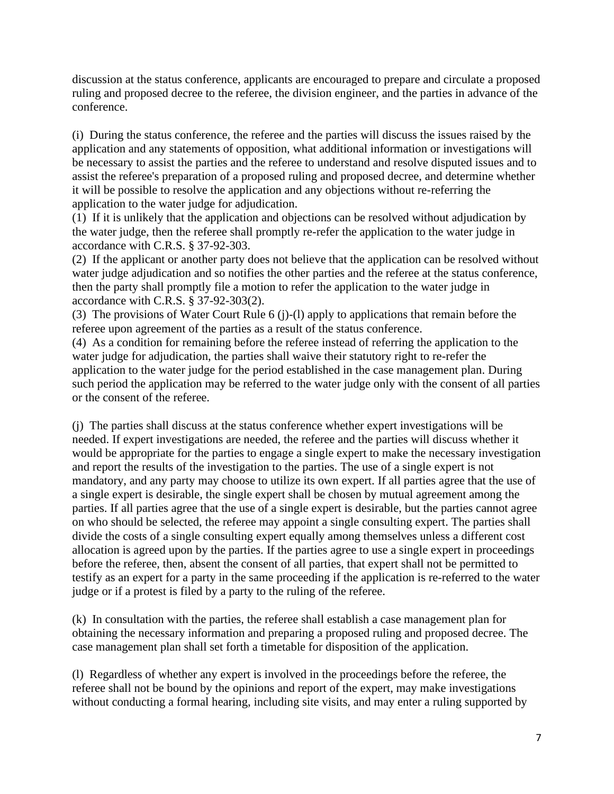discussion at the status conference, applicants are encouraged to prepare and circulate a proposed ruling and proposed decree to the referee, the division engineer, and the parties in advance of the conference.

(i) During the status conference, the referee and the parties will discuss the issues raised by the application and any statements of opposition, what additional information or investigations will be necessary to assist the parties and the referee to understand and resolve disputed issues and to assist the referee's preparation of a proposed ruling and proposed decree, and determine whether it will be possible to resolve the application and any objections without re-referring the application to the water judge for adjudication.

(1) If it is unlikely that the application and objections can be resolved without adjudication by the water judge, then the referee shall promptly re-refer the application to the water judge in accordance with C.R.S. § 37-92-303.

(2) If the applicant or another party does not believe that the application can be resolved without water judge adjudication and so notifies the other parties and the referee at the status conference, then the party shall promptly file a motion to refer the application to the water judge in accordance with C.R.S. § 37-92-303(2).

(3) The provisions of Water Court Rule 6 (j)-(l) apply to applications that remain before the referee upon agreement of the parties as a result of the status conference.

(4) As a condition for remaining before the referee instead of referring the application to the water judge for adjudication, the parties shall waive their statutory right to re-refer the application to the water judge for the period established in the case management plan. During such period the application may be referred to the water judge only with the consent of all parties or the consent of the referee.

(j) The parties shall discuss at the status conference whether expert investigations will be needed. If expert investigations are needed, the referee and the parties will discuss whether it would be appropriate for the parties to engage a single expert to make the necessary investigation and report the results of the investigation to the parties. The use of a single expert is not mandatory, and any party may choose to utilize its own expert. If all parties agree that the use of a single expert is desirable, the single expert shall be chosen by mutual agreement among the parties. If all parties agree that the use of a single expert is desirable, but the parties cannot agree on who should be selected, the referee may appoint a single consulting expert. The parties shall divide the costs of a single consulting expert equally among themselves unless a different cost allocation is agreed upon by the parties. If the parties agree to use a single expert in proceedings before the referee, then, absent the consent of all parties, that expert shall not be permitted to testify as an expert for a party in the same proceeding if the application is re-referred to the water judge or if a protest is filed by a party to the ruling of the referee.

(k) In consultation with the parties, the referee shall establish a case management plan for obtaining the necessary information and preparing a proposed ruling and proposed decree. The case management plan shall set forth a timetable for disposition of the application.

(l) Regardless of whether any expert is involved in the proceedings before the referee, the referee shall not be bound by the opinions and report of the expert, may make investigations without conducting a formal hearing, including site visits, and may enter a ruling supported by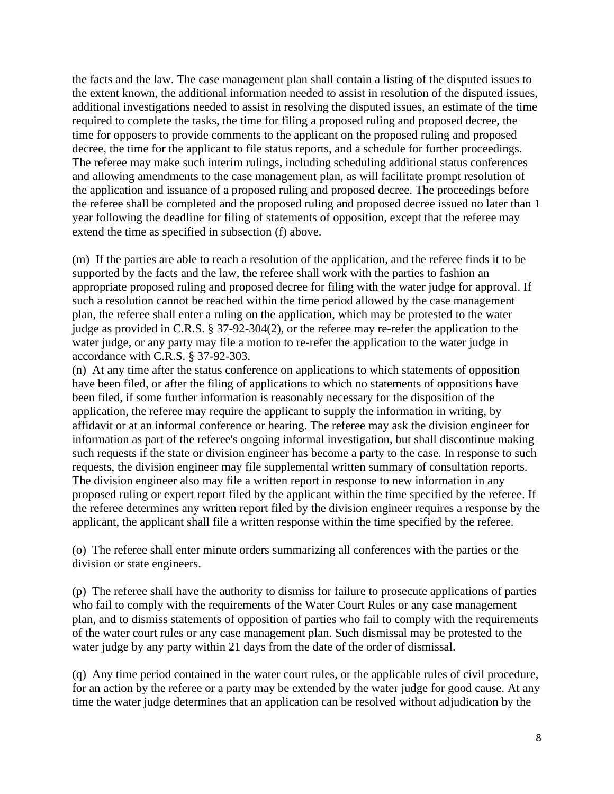the facts and the law. The case management plan shall contain a listing of the disputed issues to the extent known, the additional information needed to assist in resolution of the disputed issues, additional investigations needed to assist in resolving the disputed issues, an estimate of the time required to complete the tasks, the time for filing a proposed ruling and proposed decree, the time for opposers to provide comments to the applicant on the proposed ruling and proposed decree, the time for the applicant to file status reports, and a schedule for further proceedings. The referee may make such interim rulings, including scheduling additional status conferences and allowing amendments to the case management plan, as will facilitate prompt resolution of the application and issuance of a proposed ruling and proposed decree. The proceedings before the referee shall be completed and the proposed ruling and proposed decree issued no later than 1 year following the deadline for filing of statements of opposition, except that the referee may extend the time as specified in subsection (f) above.

(m) If the parties are able to reach a resolution of the application, and the referee finds it to be supported by the facts and the law, the referee shall work with the parties to fashion an appropriate proposed ruling and proposed decree for filing with the water judge for approval. If such a resolution cannot be reached within the time period allowed by the case management plan, the referee shall enter a ruling on the application, which may be protested to the water judge as provided in C.R.S. § 37-92-304(2), or the referee may re-refer the application to the water judge, or any party may file a motion to re-refer the application to the water judge in accordance with C.R.S. § 37-92-303.

(n) At any time after the status conference on applications to which statements of opposition have been filed, or after the filing of applications to which no statements of oppositions have been filed, if some further information is reasonably necessary for the disposition of the application, the referee may require the applicant to supply the information in writing, by affidavit or at an informal conference or hearing. The referee may ask the division engineer for information as part of the referee's ongoing informal investigation, but shall discontinue making such requests if the state or division engineer has become a party to the case. In response to such requests, the division engineer may file supplemental written summary of consultation reports. The division engineer also may file a written report in response to new information in any proposed ruling or expert report filed by the applicant within the time specified by the referee. If the referee determines any written report filed by the division engineer requires a response by the applicant, the applicant shall file a written response within the time specified by the referee.

(o) The referee shall enter minute orders summarizing all conferences with the parties or the division or state engineers.

(p) The referee shall have the authority to dismiss for failure to prosecute applications of parties who fail to comply with the requirements of the Water Court Rules or any case management plan, and to dismiss statements of opposition of parties who fail to comply with the requirements of the water court rules or any case management plan. Such dismissal may be protested to the water judge by any party within 21 days from the date of the order of dismissal.

(q) Any time period contained in the water court rules, or the applicable rules of civil procedure, for an action by the referee or a party may be extended by the water judge for good cause. At any time the water judge determines that an application can be resolved without adjudication by the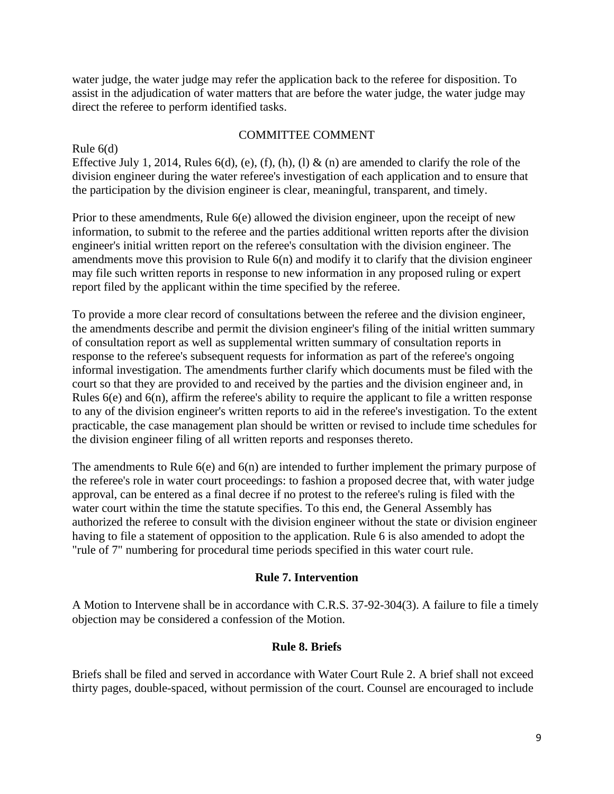water judge, the water judge may refer the application back to the referee for disposition. To assist in the adjudication of water matters that are before the water judge, the water judge may direct the referee to perform identified tasks.

### COMMITTEE COMMENT

Rule 6(d) Effective July 1, 2014, Rules  $6(d)$ , (e), (f), (h), (l) & (n) are amended to clarify the role of the division engineer during the water referee's investigation of each application and to ensure that the participation by the division engineer is clear, meaningful, transparent, and timely.

Prior to these amendments, Rule 6(e) allowed the division engineer, upon the receipt of new information, to submit to the referee and the parties additional written reports after the division engineer's initial written report on the referee's consultation with the division engineer. The amendments move this provision to Rule 6(n) and modify it to clarify that the division engineer may file such written reports in response to new information in any proposed ruling or expert report filed by the applicant within the time specified by the referee.

To provide a more clear record of consultations between the referee and the division engineer, the amendments describe and permit the division engineer's filing of the initial written summary of consultation report as well as supplemental written summary of consultation reports in response to the referee's subsequent requests for information as part of the referee's ongoing informal investigation. The amendments further clarify which documents must be filed with the court so that they are provided to and received by the parties and the division engineer and, in Rules 6(e) and 6(n), affirm the referee's ability to require the applicant to file a written response to any of the division engineer's written reports to aid in the referee's investigation. To the extent practicable, the case management plan should be written or revised to include time schedules for the division engineer filing of all written reports and responses thereto.

The amendments to Rule 6(e) and 6(n) are intended to further implement the primary purpose of the referee's role in water court proceedings: to fashion a proposed decree that, with water judge approval, can be entered as a final decree if no protest to the referee's ruling is filed with the water court within the time the statute specifies. To this end, the General Assembly has authorized the referee to consult with the division engineer without the state or division engineer having to file a statement of opposition to the application. Rule 6 is also amended to adopt the "rule of 7" numbering for procedural time periods specified in this water court rule.

### **Rule 7. Intervention**

A Motion to Intervene shall be in accordance with C.R.S. 37-92-304(3). A failure to file a timely objection may be considered a confession of the Motion.

#### **Rule 8. Briefs**

Briefs shall be filed and served in accordance with Water Court Rule 2. A brief shall not exceed thirty pages, double-spaced, without permission of the court. Counsel are encouraged to include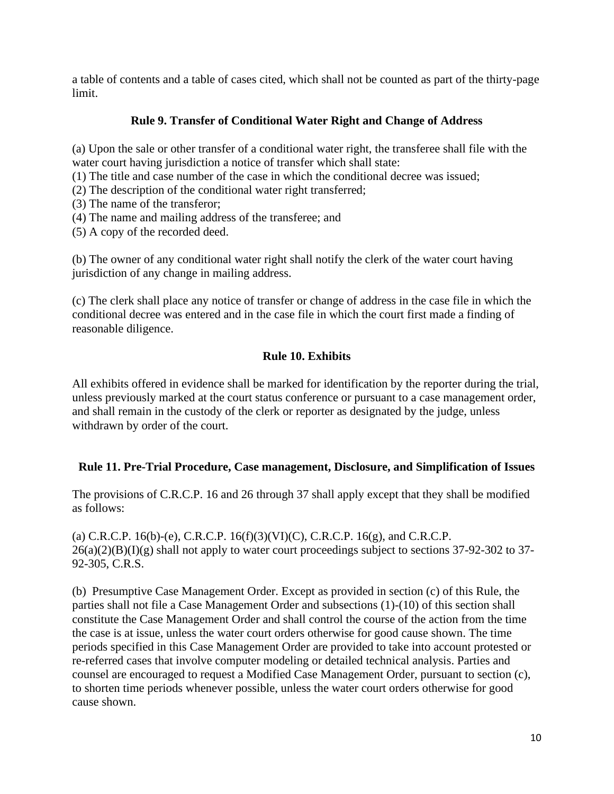a table of contents and a table of cases cited, which shall not be counted as part of the thirty-page limit.

# **Rule 9. Transfer of Conditional Water Right and Change of Address**

(a) Upon the sale or other transfer of a conditional water right, the transferee shall file with the water court having jurisdiction a notice of transfer which shall state:

(1) The title and case number of the case in which the conditional decree was issued;

(2) The description of the conditional water right transferred;

(3) The name of the transferor;

(4) The name and mailing address of the transferee; and

(5) A copy of the recorded deed.

(b) The owner of any conditional water right shall notify the clerk of the water court having jurisdiction of any change in mailing address.

(c) The clerk shall place any notice of transfer or change of address in the case file in which the conditional decree was entered and in the case file in which the court first made a finding of reasonable diligence.

# **Rule 10. Exhibits**

All exhibits offered in evidence shall be marked for identification by the reporter during the trial, unless previously marked at the court status conference or pursuant to a case management order, and shall remain in the custody of the clerk or reporter as designated by the judge, unless withdrawn by order of the court.

### **Rule 11. Pre-Trial Procedure, Case management, Disclosure, and Simplification of Issues**

The provisions of C.R.C.P. 16 and 26 through 37 shall apply except that they shall be modified as follows:

(a) C.R.C.P. 16(b)-(e), C.R.C.P. 16(f)(3)(VI)(C), C.R.C.P. 16(g), and C.R.C.P.  $26(a)(2)(B)(I)(g)$  shall not apply to water court proceedings subject to sections 37-92-302 to 37-92-305, C.R.S.

(b) Presumptive Case Management Order. Except as provided in section (c) of this Rule, the parties shall not file a Case Management Order and subsections (1)-(10) of this section shall constitute the Case Management Order and shall control the course of the action from the time the case is at issue, unless the water court orders otherwise for good cause shown. The time periods specified in this Case Management Order are provided to take into account protested or re-referred cases that involve computer modeling or detailed technical analysis. Parties and counsel are encouraged to request a Modified Case Management Order, pursuant to section (c), to shorten time periods whenever possible, unless the water court orders otherwise for good cause shown.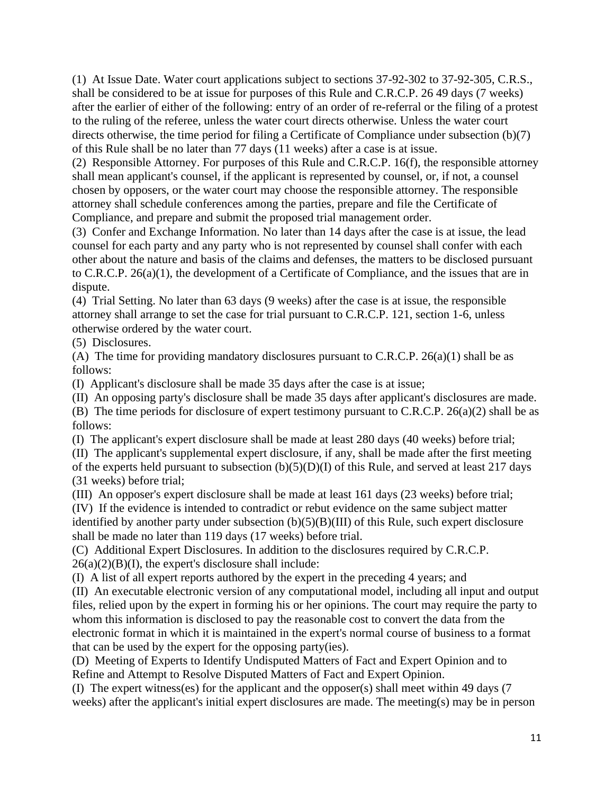(1) At Issue Date. Water court applications subject to sections 37-92-302 to 37-92-305, C.R.S., shall be considered to be at issue for purposes of this Rule and C.R.C.P. 26 [49](https://1.next.westlaw.com/Link/Document/FullText?findType=L&pubNum=1005387&cite=COSTRCPR49&originatingDoc=N61C8FA00DBE011DB8D12B2375E34596F&refType=LQ&originationContext=document&transitionType=DocumentItem&contextData=(sc.Category)) days (7 weeks) after the earlier of either of the following: entry of an order of re-referral or the filing of a protest to the ruling of the referee, unless the water court directs otherwise. Unless the water court directs otherwise, the time period for filing a Certificate of Compliance under subsection (b)(7) of this Rule shall be no later than 77 days (11 weeks) after a case is at issue.

(2) Responsible Attorney. For purposes of this Rule and C.R.C.P. 16(f), the responsible attorney shall mean applicant's counsel, if the applicant is represented by counsel, or, if not, a counsel chosen by opposers, or the water court may choose the responsible attorney. The responsible attorney shall schedule conferences among the parties, prepare and file the Certificate of Compliance, and prepare and submit the proposed trial management order.

(3) Confer and Exchange Information. No later than 14 days after the case is at issue, the lead counsel for each party and any party who is not represented by counsel shall confer with each other about the nature and basis of the claims and defenses, the matters to be disclosed pursuant to C.R.C.P. 26(a)(1), the development of a Certificate of Compliance, and the issues that are in dispute.

(4) Trial Setting. No later than 63 days (9 weeks) after the case is at issue, the responsible attorney shall arrange to set the case for trial pursuant to C.R.C.P. 121, section 1-6, unless otherwise ordered by the water court.

(5) Disclosures.

(A) The time for providing mandatory disclosures pursuant to C.R.C.P.  $26(a)(1)$  shall be as follows:

(I) Applicant's disclosure shall be made 35 days after the case is at issue;

(II) An opposing party's disclosure shall be made 35 days after applicant's disclosures are made.

(B) The time periods for disclosure of expert testimony pursuant to C.R.C.P. 26(a)(2) shall be as follows:

(I) The applicant's expert disclosure shall be made at least 280 days (40 weeks) before trial;

(II) The applicant's supplemental expert disclosure, if any, shall be made after the first meeting of the experts held pursuant to subsection  $(b)(5)(D)(I)$  of this Rule, and served at least 217 days (31 weeks) before trial;

(III) An opposer's expert disclosure shall be made at least 161 days (23 weeks) before trial; (IV) If the evidence is intended to contradict or rebut evidence on the same subject matter identified by another party under subsection  $(b)(5)(B)(III)$  of this Rule, such expert disclosure shall be made no later than 119 days (17 weeks) before trial.

(C) Additional Expert Disclosures. In addition to the disclosures required by C.R.C.P.  $26(a)(2)(B)(I)$ , the expert's disclosure shall include:

(I) A list of all expert reports authored by the expert in the preceding 4 years; and

(II) An executable electronic version of any computational model, including all input and output files, relied upon by the expert in forming his or her opinions. The court may require the party to whom this information is disclosed to pay the reasonable cost to convert the data from the electronic format in which it is maintained in the expert's normal course of business to a format that can be used by the expert for the opposing party(ies).

(D) Meeting of Experts to Identify Undisputed Matters of Fact and Expert Opinion and to Refine and Attempt to Resolve Disputed Matters of Fact and Expert Opinion.

(I) The expert witness(es) for the applicant and the opposer(s) shall meet within 49 days (7 weeks) after the applicant's initial expert disclosures are made. The meeting(s) may be in person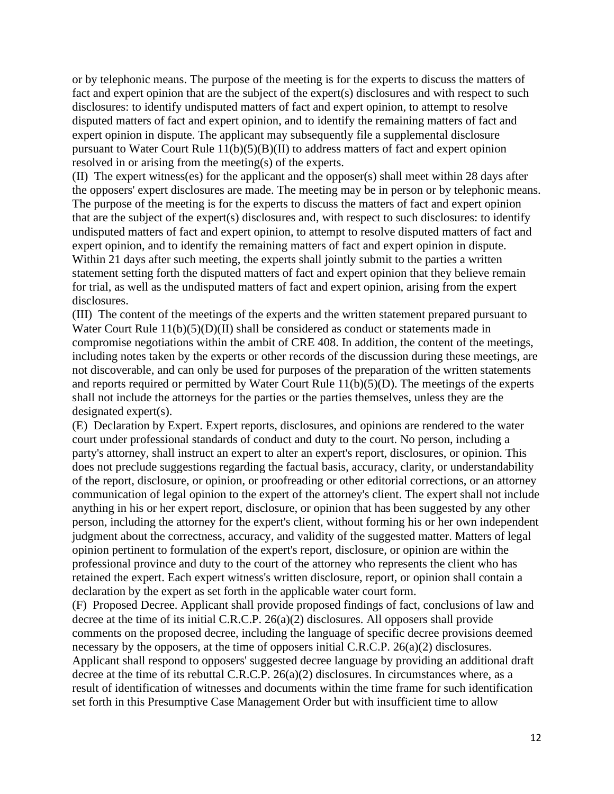or by telephonic means. The purpose of the meeting is for the experts to discuss the matters of fact and expert opinion that are the subject of the expert(s) disclosures and with respect to such disclosures: to identify undisputed matters of fact and expert opinion, to attempt to resolve disputed matters of fact and expert opinion, and to identify the remaining matters of fact and expert opinion in dispute. The applicant may subsequently file a supplemental disclosure pursuant to Water Court Rule 11(b)(5)(B)(II) to address matters of fact and expert opinion resolved in or arising from the meeting(s) of the experts.

(II) The expert witness(es) for the applicant and the opposer(s) shall meet within 28 days after the opposers' expert disclosures are made. The meeting may be in person or by telephonic means. The purpose of the meeting is for the experts to discuss the matters of fact and expert opinion that are the subject of the expert(s) disclosures and, with respect to such disclosures: to identify undisputed matters of fact and expert opinion, to attempt to resolve disputed matters of fact and expert opinion, and to identify the remaining matters of fact and expert opinion in dispute. Within 21 days after such meeting, the experts shall jointly submit to the parties a written statement setting forth the disputed matters of fact and expert opinion that they believe remain for trial, as well as the undisputed matters of fact and expert opinion, arising from the expert disclosures.

(III) The content of the meetings of the experts and the written statement prepared pursuant to Water Court Rule 11(b)(5)(D)(II) shall be considered as conduct or statements made in compromise negotiations within the ambit of CRE 408. In addition, the content of the meetings, including notes taken by the experts or other records of the discussion during these meetings, are not discoverable, and can only be used for purposes of the preparation of the written statements and reports required or permitted by Water Court Rule 11(b)(5)(D). The meetings of the experts shall not include the attorneys for the parties or the parties themselves, unless they are the designated expert(s).

(E) Declaration by Expert. Expert reports, disclosures, and opinions are rendered to the water court under professional standards of conduct and duty to the court. No person, including a party's attorney, shall instruct an expert to alter an expert's report, disclosures, or opinion. This does not preclude suggestions regarding the factual basis, accuracy, clarity, or understandability of the report, disclosure, or opinion, or proofreading or other editorial corrections, or an attorney communication of legal opinion to the expert of the attorney's client. The expert shall not include anything in his or her expert report, disclosure, or opinion that has been suggested by any other person, including the attorney for the expert's client, without forming his or her own independent judgment about the correctness, accuracy, and validity of the suggested matter. Matters of legal opinion pertinent to formulation of the expert's report, disclosure, or opinion are within the professional province and duty to the court of the attorney who represents the client who has retained the expert. Each expert witness's written disclosure, report, or opinion shall contain a declaration by the expert as set forth in the applicable water court form.

(F) Proposed Decree. Applicant shall provide proposed findings of fact, conclusions of law and decree at the time of its initial C.R.C.P. 26(a)(2) disclosures. All opposers shall provide comments on the proposed decree, including the language of specific decree provisions deemed necessary by the opposers, at the time of opposers initial C.R.C.P. 26(a)(2) disclosures. Applicant shall respond to opposers' suggested decree language by providing an additional draft decree at the time of its rebuttal C.R.C.P. 26(a)(2) disclosures. In circumstances where, as a result of identification of witnesses and documents within the time frame for such identification set forth in this Presumptive Case Management Order but with insufficient time to allow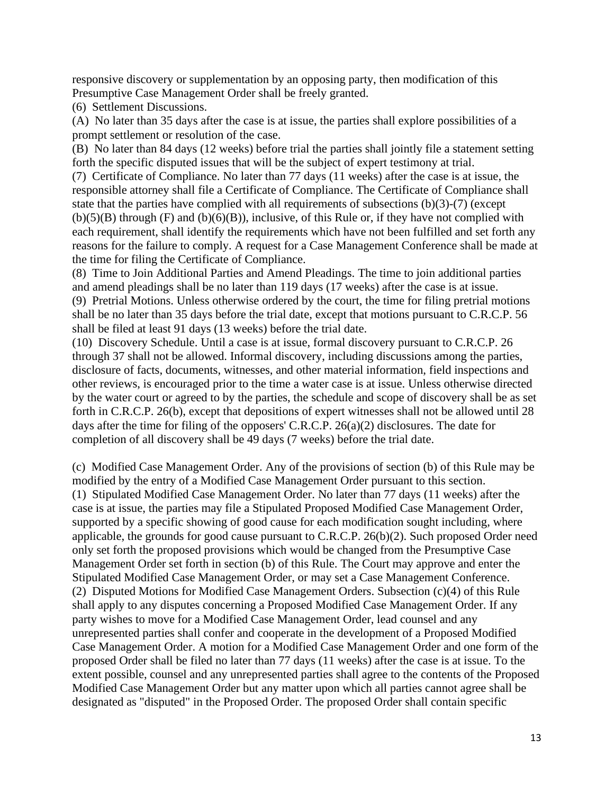responsive discovery or supplementation by an opposing party, then modification of this Presumptive Case Management Order shall be freely granted.

(6) Settlement Discussions.

(A) No later than 35 days after the case is at issue, the parties shall explore possibilities of a prompt settlement or resolution of the case.

(B) No later than 84 days (12 weeks) before trial the parties shall jointly file a statement setting forth the specific disputed issues that will be the subject of expert testimony at trial.

(7) Certificate of Compliance. No later than 77 days (11 weeks) after the case is at issue, the responsible attorney shall file a Certificate of Compliance. The Certificate of Compliance shall state that the parties have complied with all requirements of subsections (b)(3)-(7) (except  $(b)(5)(B)$  through  $(F)$  and  $(b)(6)(B)$ , inclusive, of this Rule or, if they have not complied with each requirement, shall identify the requirements which have not been fulfilled and set forth any reasons for the failure to comply. A request for a Case Management Conference shall be made at the time for filing the Certificate of Compliance.

(8) Time to Join Additional Parties and Amend Pleadings. The time to join additional parties and amend pleadings shall be no later than 119 days (17 weeks) after the case is at issue. (9) Pretrial Motions. Unless otherwise ordered by the court, the time for filing pretrial motions shall be no later than 35 days before the trial date, except that motions pursuant to C.R.C.P. 56

shall be filed at least 91 days (13 weeks) before the trial date.

(10) Discovery Schedule. Until a case is at issue, formal discovery pursuant to C.R.C.P. 26 through 37 shall not be allowed. Informal discovery, including discussions among the parties, disclosure of facts, documents, witnesses, and other material information, field inspections and other reviews, is encouraged prior to the time a water case is at issue. Unless otherwise directed by the water court or agreed to by the parties, the schedule and scope of discovery shall be as set forth in C.R.C.P. 26(b), except that depositions of expert witnesses shall not be allowed until 28 days after the time for filing of the opposers' C.R.C.P. 26(a)(2) disclosures. The date for completion of all discovery shall be 49 days (7 weeks) before the trial date.

(c) Modified Case Management Order. Any of the provisions of section (b) of this Rule may be modified by the entry of a Modified Case Management Order pursuant to this section. (1) Stipulated Modified Case Management Order. No later than 77 days (11 weeks) after the case is at issue, the parties may file a Stipulated Proposed Modified Case Management Order, supported by a specific showing of good cause for each modification sought including, where applicable, the grounds for good cause pursuant to C.R.C.P. 26(b)(2). Such proposed Order need only set forth the proposed provisions which would be changed from the Presumptive Case Management Order set forth in section (b) of this Rule. The Court may approve and enter the Stipulated Modified Case Management Order, or may set a Case Management Conference. (2) Disputed Motions for Modified Case Management Orders. Subsection (c)(4) of this Rule shall apply to any disputes concerning a Proposed Modified Case Management Order. If any party wishes to move for a Modified Case Management Order, lead counsel and any unrepresented parties shall confer and cooperate in the development of a Proposed Modified Case Management Order. A motion for a Modified Case Management Order and one form of the proposed Order shall be filed no later than 77 days (11 weeks) after the case is at issue. To the extent possible, counsel and any unrepresented parties shall agree to the contents of the Proposed Modified Case Management Order but any matter upon which all parties cannot agree shall be designated as "disputed" in the Proposed Order. The proposed Order shall contain specific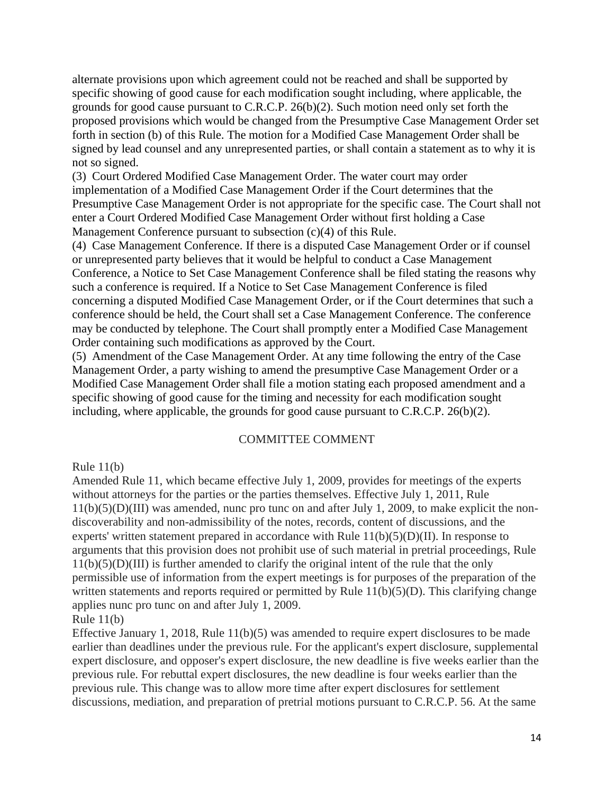alternate provisions upon which agreement could not be reached and shall be supported by specific showing of good cause for each modification sought including, where applicable, the grounds for good cause pursuant to C.R.C.P. 26(b)(2). Such motion need only set forth the proposed provisions which would be changed from the Presumptive Case Management Order set forth in section (b) of this Rule. The motion for a Modified Case Management Order shall be signed by lead counsel and any unrepresented parties, or shall contain a statement as to why it is not so signed.

(3) Court Ordered Modified Case Management Order. The water court may order implementation of a Modified Case Management Order if the Court determines that the Presumptive Case Management Order is not appropriate for the specific case. The Court shall not enter a Court Ordered Modified Case Management Order without first holding a Case Management Conference pursuant to subsection (c)(4) of this Rule.

(4) Case Management Conference. If there is a disputed Case Management Order or if counsel or unrepresented party believes that it would be helpful to conduct a Case Management Conference, a Notice to Set Case Management Conference shall be filed stating the reasons why such a conference is required. If a Notice to Set Case Management Conference is filed concerning a disputed Modified Case Management Order, or if the Court determines that such a conference should be held, the Court shall set a Case Management Conference. The conference may be conducted by telephone. The Court shall promptly enter a Modified Case Management Order containing such modifications as approved by the Court.

(5) Amendment of the Case Management Order. At any time following the entry of the Case Management Order, a party wishing to amend the presumptive Case Management Order or a Modified Case Management Order shall file a motion stating each proposed amendment and a specific showing of good cause for the timing and necessity for each modification sought including, where applicable, the grounds for good cause pursuant to C.R.C.P. 26(b)(2).

## COMMITTEE COMMENT

Rule  $11(b)$ 

Amended Rule 11, which became effective July 1, 2009, provides for meetings of the experts without attorneys for the parties or the parties themselves. Effective July 1, 2011, Rule 11(b)(5)(D)(III) was amended, nunc pro tunc on and after July 1, 2009, to make explicit the nondiscoverability and non-admissibility of the notes, records, content of discussions, and the experts' written statement prepared in accordance with Rule  $11(b)(5)(D)(II)$ . In response to arguments that this provision does not prohibit use of such material in pretrial proceedings, Rule 11(b)(5)(D)(III) is further amended to clarify the original intent of the rule that the only permissible use of information from the expert meetings is for purposes of the preparation of the written statements and reports required or permitted by Rule 11(b)(5)(D). This clarifying change applies nunc pro tunc on and after July 1, 2009.

Rule  $11(b)$ 

Effective January 1, 2018, Rule 11(b)(5) was amended to require expert disclosures to be made earlier than deadlines under the previous rule. For the applicant's expert disclosure, supplemental expert disclosure, and opposer's expert disclosure, the new deadline is five weeks earlier than the previous rule. For rebuttal expert disclosures, the new deadline is four weeks earlier than the previous rule. This change was to allow more time after expert disclosures for settlement discussions, mediation, and preparation of pretrial motions pursuant to C.R.C.P. 56. At the same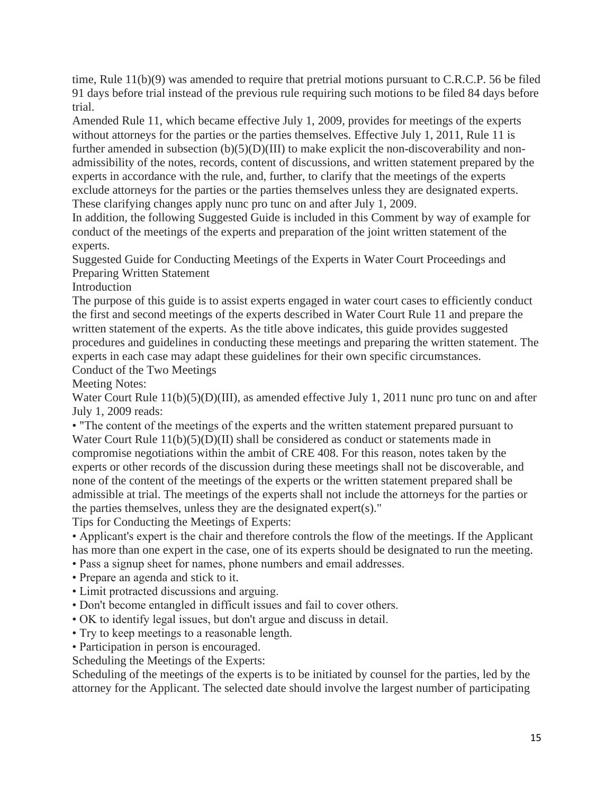time, Rule 11(b)(9) was amended to require that pretrial motions pursuant to C.R.C.P. 56 be filed 91 days before trial instead of the previous rule requiring such motions to be filed 84 days before trial.

Amended Rule 11, which became effective July 1, 2009, provides for meetings of the experts without attorneys for the parties or the parties themselves. Effective July 1, 2011, Rule 11 is further amended in subsection  $(b)(5)(D)(III)$  to make explicit the non-discoverability and nonadmissibility of the notes, records, content of discussions, and written statement prepared by the experts in accordance with the rule, and, further, to clarify that the meetings of the experts exclude attorneys for the parties or the parties themselves unless they are designated experts. These clarifying changes apply nunc pro tunc on and after July 1, 2009.

In addition, the following Suggested Guide is included in this Comment by way of example for conduct of the meetings of the experts and preparation of the joint written statement of the experts.

Suggested Guide for Conducting Meetings of the Experts in Water Court Proceedings and Preparing Written Statement

Introduction

The purpose of this guide is to assist experts engaged in water court cases to efficiently conduct the first and second meetings of the experts described in Water Court Rule 11 and prepare the written statement of the experts. As the title above indicates, this guide provides suggested procedures and guidelines in conducting these meetings and preparing the written statement. The experts in each case may adapt these guidelines for their own specific circumstances. Conduct of the Two Meetings

Meeting Notes:

Water Court Rule  $11(b)(5)(D)(III)$ , as amended effective July 1, 2011 nunc pro tunc on and after July 1, 2009 reads:

• "The content of the meetings of the experts and the written statement prepared pursuant to Water Court Rule  $11(b)(5)(D)(II)$  shall be considered as conduct or statements made in compromise negotiations within the ambit of CRE 408. For this reason, notes taken by the experts or other records of the discussion during these meetings shall not be discoverable, and none of the content of the meetings of the experts or the written statement prepared shall be admissible at trial. The meetings of the experts shall not include the attorneys for the parties or the parties themselves, unless they are the designated expert(s)."

Tips for Conducting the Meetings of Experts:

• Applicant's expert is the chair and therefore controls the flow of the meetings. If the Applicant has more than one expert in the case, one of its experts should be designated to run the meeting.

• Pass a signup sheet for names, phone numbers and email addresses.

- Prepare an agenda and stick to it.
- Limit protracted discussions and arguing.
- Don't become entangled in difficult issues and fail to cover others.
- OK to identify legal issues, but don't argue and discuss in detail.
- Try to keep meetings to a reasonable length.
- Participation in person is encouraged.

Scheduling the Meetings of the Experts:

Scheduling of the meetings of the experts is to be initiated by counsel for the parties, led by the attorney for the Applicant. The selected date should involve the largest number of participating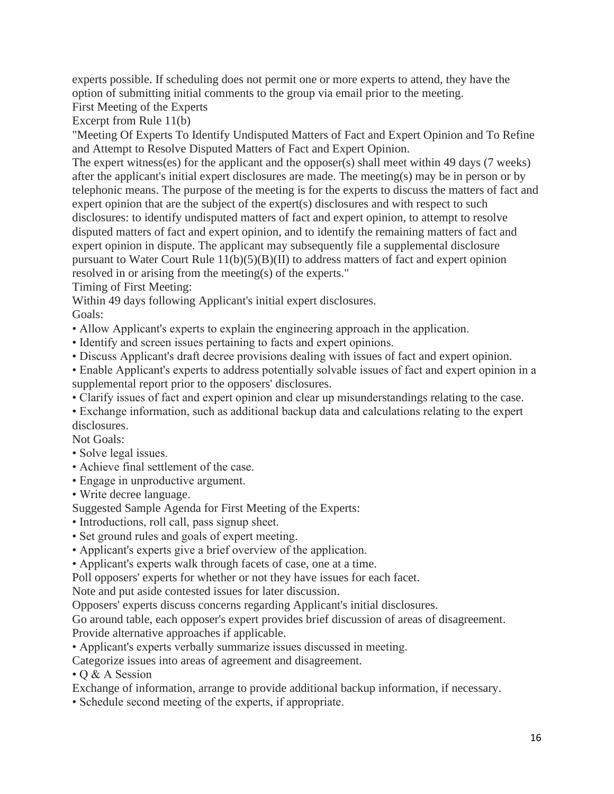experts possible. If scheduling does not permit one or more experts to attend, they have the option of submitting initial comments to the group via email prior to the meeting.

First Meeting of the Experts

Excerpt from Rule 11(b)

"Meeting Of Experts To Identify Undisputed Matters of Fact and Expert Opinion and To Refine and Attempt to Resolve Disputed Matters of Fact and Expert Opinion.

The expert witness(es) for the applicant and the opposer(s) shall meet within 49 days (7 weeks) after the applicant's initial expert disclosures are made. The meeting(s) may be in person or by telephonic means. The purpose of the meeting is for the experts to discuss the matters of fact and expert opinion that are the subject of the expert(s) disclosures and with respect to such disclosures: to identify undisputed matters of fact and expert opinion, to attempt to resolve disputed matters of fact and expert opinion, and to identify the remaining matters of fact and expert opinion in dispute. The applicant may subsequently file a supplemental disclosure pursuant to Water Court Rule 11(b)(5)(B)(II) to address matters of fact and expert opinion resolved in or arising from the meeting(s) of the experts."

Timing of First Meeting:

Within 49 days following Applicant's initial expert disclosures.

Goals:

- Allow Applicant's experts to explain the engineering approach in the application.
- Identify and screen issues pertaining to facts and expert opinions.
- Discuss Applicant's draft decree provisions dealing with issues of fact and expert opinion.

• Enable Applicant's experts to address potentially solvable issues of fact and expert opinion in a supplemental report prior to the opposers' disclosures.

• Clarify issues of fact and expert opinion and clear up misunderstandings relating to the case.

• Exchange information, such as additional backup data and calculations relating to the expert disclosures.

Not Goals:

- Solve legal issues.
- Achieve final settlement of the case.
- Engage in unproductive argument.
- Write decree language.

Suggested Sample Agenda for First Meeting of the Experts:

- Introductions, roll call, pass signup sheet.
- Set ground rules and goals of expert meeting.
- Applicant's experts give a brief overview of the application.

• Applicant's experts walk through facets of case, one at a time.

Poll opposers' experts for whether or not they have issues for each facet.

Note and put aside contested issues for later discussion.

Opposers' experts discuss concerns regarding Applicant's initial disclosures.

Go around table, each opposer's expert provides brief discussion of areas of disagreement. Provide alternative approaches if applicable.

• Applicant's experts verbally summarize issues discussed in meeting.

Categorize issues into areas of agreement and disagreement.

• Q & A Session

Exchange of information, arrange to provide additional backup information, if necessary.

• Schedule second meeting of the experts, if appropriate.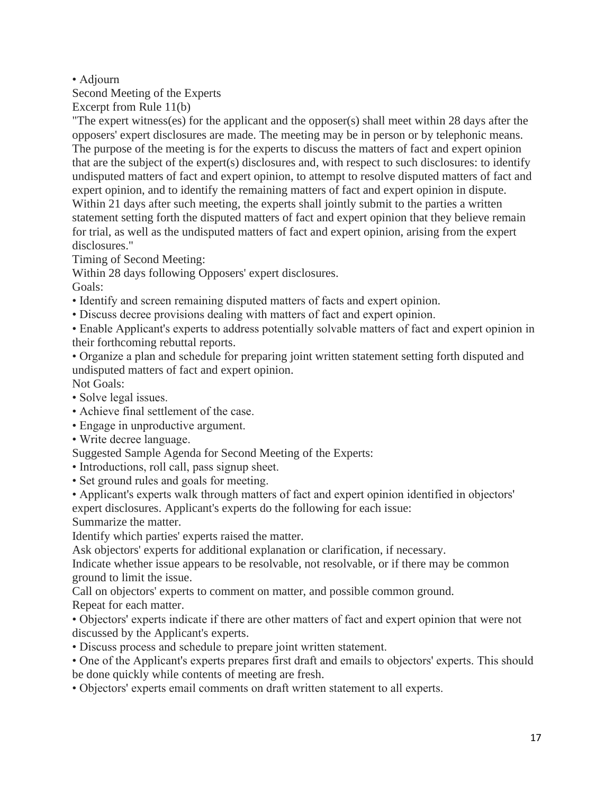# • Adjourn

Second Meeting of the Experts

Excerpt from Rule 11(b)

"The expert witness(es) for the applicant and the opposer(s) shall meet within 28 days after the opposers' expert disclosures are made. The meeting may be in person or by telephonic means. The purpose of the meeting is for the experts to discuss the matters of fact and expert opinion that are the subject of the expert(s) disclosures and, with respect to such disclosures: to identify undisputed matters of fact and expert opinion, to attempt to resolve disputed matters of fact and expert opinion, and to identify the remaining matters of fact and expert opinion in dispute. Within 21 days after such meeting, the experts shall jointly submit to the parties a written statement setting forth the disputed matters of fact and expert opinion that they believe remain for trial, as well as the undisputed matters of fact and expert opinion, arising from the expert disclosures."

Timing of Second Meeting:

Within 28 days following Opposers' expert disclosures.

Goals:

- Identify and screen remaining disputed matters of facts and expert opinion.
- Discuss decree provisions dealing with matters of fact and expert opinion.

• Enable Applicant's experts to address potentially solvable matters of fact and expert opinion in their forthcoming rebuttal reports.

• Organize a plan and schedule for preparing joint written statement setting forth disputed and undisputed matters of fact and expert opinion.

Not Goals:

- Solve legal issues.
- Achieve final settlement of the case.
- Engage in unproductive argument.
- Write decree language.

Suggested Sample Agenda for Second Meeting of the Experts:

- Introductions, roll call, pass signup sheet.
- Set ground rules and goals for meeting.
- Applicant's experts walk through matters of fact and expert opinion identified in objectors' expert disclosures. Applicant's experts do the following for each issue:

Summarize the matter.

Identify which parties' experts raised the matter.

Ask objectors' experts for additional explanation or clarification, if necessary.

Indicate whether issue appears to be resolvable, not resolvable, or if there may be common ground to limit the issue.

Call on objectors' experts to comment on matter, and possible common ground. Repeat for each matter.

• Objectors' experts indicate if there are other matters of fact and expert opinion that were not discussed by the Applicant's experts.

• Discuss process and schedule to prepare joint written statement.

• One of the Applicant's experts prepares first draft and emails to objectors' experts. This should be done quickly while contents of meeting are fresh.

• Objectors' experts email comments on draft written statement to all experts.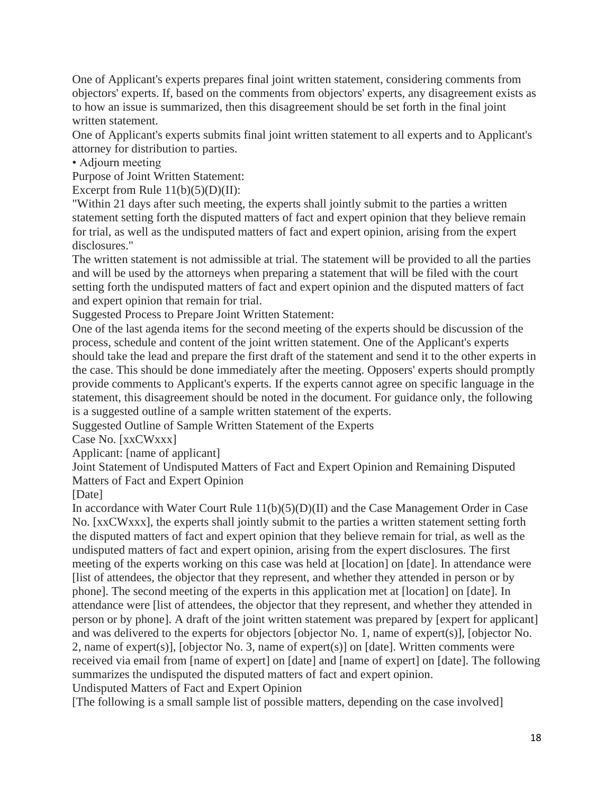One of Applicant's experts prepares final joint written statement, considering comments from objectors' experts. If, based on the comments from objectors' experts, any disagreement exists as to how an issue is summarized, then this disagreement should be set forth in the final joint written statement.

One of Applicant's experts submits final joint written statement to all experts and to Applicant's attorney for distribution to parties.

• Adjourn meeting

Purpose of Joint Written Statement:

Excerpt from Rule  $11(b)(5)(D)(II)$ :

"Within 21 days after such meeting, the experts shall jointly submit to the parties a written statement setting forth the disputed matters of fact and expert opinion that they believe remain for trial, as well as the undisputed matters of fact and expert opinion, arising from the expert disclosures."

The written statement is not admissible at trial. The statement will be provided to all the parties and will be used by the attorneys when preparing a statement that will be filed with the court setting forth the undisputed matters of fact and expert opinion and the disputed matters of fact and expert opinion that remain for trial.

Suggested Process to Prepare Joint Written Statement:

One of the last agenda items for the second meeting of the experts should be discussion of the process, schedule and content of the joint written statement. One of the Applicant's experts should take the lead and prepare the first draft of the statement and send it to the other experts in the case. This should be done immediately after the meeting. Opposers' experts should promptly provide comments to Applicant's experts. If the experts cannot agree on specific language in the statement, this disagreement should be noted in the document. For guidance only, the following is a suggested outline of a sample written statement of the experts.

Suggested Outline of Sample Written Statement of the Experts

Case No. [xxCWxxx]

Applicant: [name of applicant]

Joint Statement of Undisputed Matters of Fact and Expert Opinion and Remaining Disputed Matters of Fact and Expert Opinion

[Date]

In accordance with Water Court Rule 11(b)(5)(D)(II) and the Case Management Order in Case No. [xxCWxxx], the experts shall jointly submit to the parties a written statement setting forth the disputed matters of fact and expert opinion that they believe remain for trial, as well as the undisputed matters of fact and expert opinion, arising from the expert disclosures. The first meeting of the experts working on this case was held at [location] on [date]. In attendance were [list of attendees, the objector that they represent, and whether they attended in person or by phone]. The second meeting of the experts in this application met at [location] on [date]. In attendance were [list of attendees, the objector that they represent, and whether they attended in person or by phone]. A draft of the joint written statement was prepared by [expert for applicant] and was delivered to the experts for objectors [objector No. 1, name of expert(s)], [objector No. 2, name of expert(s)], [objector No. 3, name of expert(s)] on [date]. Written comments were received via email from [name of expert] on [date] and [name of expert] on [date]. The following summarizes the undisputed the disputed matters of fact and expert opinion. Undisputed Matters of Fact and Expert Opinion

[The following is a small sample list of possible matters, depending on the case involved]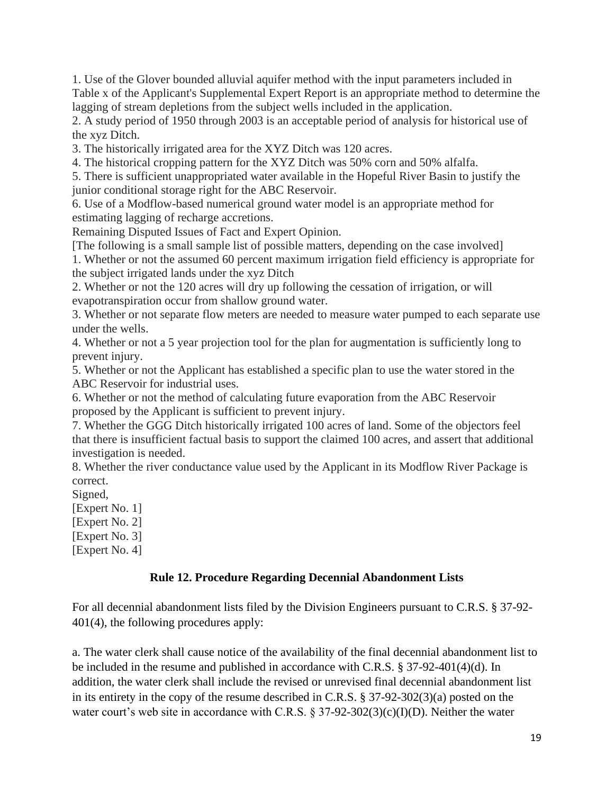1. Use of the Glover bounded alluvial aquifer method with the input parameters included in Table x of the Applicant's Supplemental Expert Report is an appropriate method to determine the lagging of stream depletions from the subject wells included in the application.

2. A study period of 1950 through 2003 is an acceptable period of analysis for historical use of the xyz Ditch.

3. The historically irrigated area for the XYZ Ditch was 120 acres.

4. The historical cropping pattern for the XYZ Ditch was 50% corn and 50% alfalfa.

5. There is sufficient unappropriated water available in the Hopeful River Basin to justify the junior conditional storage right for the ABC Reservoir.

6. Use of a Modflow-based numerical ground water model is an appropriate method for estimating lagging of recharge accretions.

Remaining Disputed Issues of Fact and Expert Opinion.

[The following is a small sample list of possible matters, depending on the case involved]

1. Whether or not the assumed 60 percent maximum irrigation field efficiency is appropriate for the subject irrigated lands under the xyz Ditch

2. Whether or not the 120 acres will dry up following the cessation of irrigation, or will evapotranspiration occur from shallow ground water.

3. Whether or not separate flow meters are needed to measure water pumped to each separate use under the wells.

4. Whether or not a 5 year projection tool for the plan for augmentation is sufficiently long to prevent injury.

5. Whether or not the Applicant has established a specific plan to use the water stored in the ABC Reservoir for industrial uses.

6. Whether or not the method of calculating future evaporation from the ABC Reservoir proposed by the Applicant is sufficient to prevent injury.

7. Whether the GGG Ditch historically irrigated 100 acres of land. Some of the objectors feel that there is insufficient factual basis to support the claimed 100 acres, and assert that additional investigation is needed.

8. Whether the river conductance value used by the Applicant in its Modflow River Package is correct.

Signed,

[Expert No. 1]

[Expert No. 2]

[Expert No. 3]

[Expert No. 4]

### **Rule 12. Procedure Regarding Decennial Abandonment Lists**

For all decennial abandonment lists filed by the Division Engineers pursuant to C.R.S. § 37-92- 401(4), the following procedures apply:

a. The water clerk shall cause notice of the availability of the final decennial abandonment list to be included in the resume and published in accordance with C.R.S. § 37-92-401(4)(d). In addition, the water clerk shall include the revised or unrevised final decennial abandonment list in its entirety in the copy of the resume described in C.R.S. § 37-92-302(3)(a) posted on the water court's web site in accordance with C.R.S.  $\S 37-92-302(3)(c)(I)(D)$ . Neither the water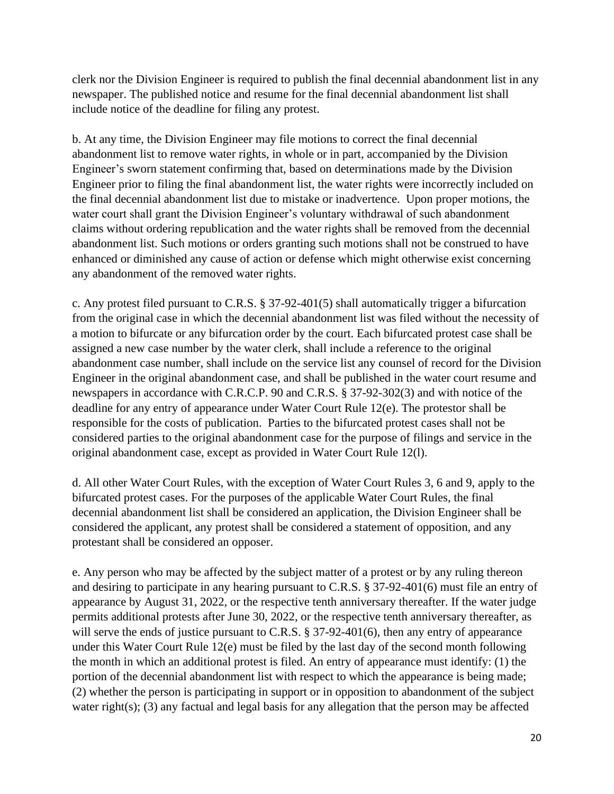clerk nor the Division Engineer is required to publish the final decennial abandonment list in any newspaper. The published notice and resume for the final decennial abandonment list shall include notice of the deadline for filing any protest.

b. At any time, the Division Engineer may file motions to correct the final decennial abandonment list to remove water rights, in whole or in part, accompanied by the Division Engineer's sworn statement confirming that, based on determinations made by the Division Engineer prior to filing the final abandonment list, the water rights were incorrectly included on the final decennial abandonment list due to mistake or inadvertence. Upon proper motions, the water court shall grant the Division Engineer's voluntary withdrawal of such abandonment claims without ordering republication and the water rights shall be removed from the decennial abandonment list. Such motions or orders granting such motions shall not be construed to have enhanced or diminished any cause of action or defense which might otherwise exist concerning any abandonment of the removed water rights.

c. Any protest filed pursuant to C.R.S. § 37-92-401(5) shall automatically trigger a bifurcation from the original case in which the decennial abandonment list was filed without the necessity of a motion to bifurcate or any bifurcation order by the court. Each bifurcated protest case shall be assigned a new case number by the water clerk, shall include a reference to the original abandonment case number, shall include on the service list any counsel of record for the Division Engineer in the original abandonment case, and shall be published in the water court resume and newspapers in accordance with C.R.C.P. 90 and C.R.S. § 37-92-302(3) and with notice of the deadline for any entry of appearance under Water Court Rule 12(e). The protestor shall be responsible for the costs of publication. Parties to the bifurcated protest cases shall not be considered parties to the original abandonment case for the purpose of filings and service in the original abandonment case, except as provided in Water Court Rule 12(l).

d. All other Water Court Rules, with the exception of Water Court Rules 3, 6 and 9, apply to the bifurcated protest cases. For the purposes of the applicable Water Court Rules, the final decennial abandonment list shall be considered an application, the Division Engineer shall be considered the applicant, any protest shall be considered a statement of opposition, and any protestant shall be considered an opposer.

e. Any person who may be affected by the subject matter of a protest or by any ruling thereon and desiring to participate in any hearing pursuant to C.R.S. § 37-92-401(6) must file an entry of appearance by August 31, 2022, or the respective tenth anniversary thereafter. If the water judge permits additional protests after June 30, 2022, or the respective tenth anniversary thereafter, as will serve the ends of justice pursuant to C.R.S. § 37-92-401(6), then any entry of appearance under this Water Court Rule 12(e) must be filed by the last day of the second month following the month in which an additional protest is filed. An entry of appearance must identify: (1) the portion of the decennial abandonment list with respect to which the appearance is being made; (2) whether the person is participating in support or in opposition to abandonment of the subject water right(s); (3) any factual and legal basis for any allegation that the person may be affected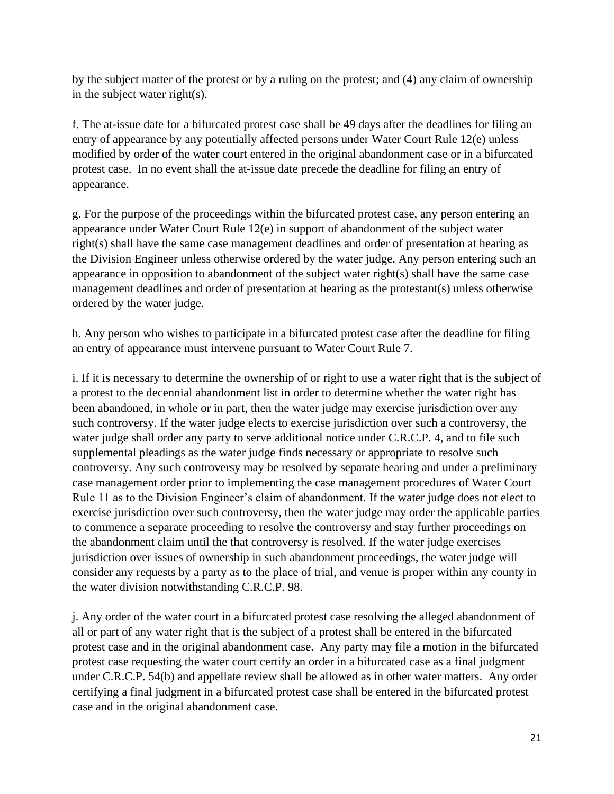by the subject matter of the protest or by a ruling on the protest; and (4) any claim of ownership in the subject water right(s).

f. The at-issue date for a bifurcated protest case shall be 49 days after the deadlines for filing an entry of appearance by any potentially affected persons under Water Court Rule 12(e) unless modified by order of the water court entered in the original abandonment case or in a bifurcated protest case. In no event shall the at-issue date precede the deadline for filing an entry of appearance.

g. For the purpose of the proceedings within the bifurcated protest case, any person entering an appearance under Water Court Rule 12(e) in support of abandonment of the subject water right(s) shall have the same case management deadlines and order of presentation at hearing as the Division Engineer unless otherwise ordered by the water judge. Any person entering such an appearance in opposition to abandonment of the subject water right(s) shall have the same case management deadlines and order of presentation at hearing as the protestant(s) unless otherwise ordered by the water judge.

h. Any person who wishes to participate in a bifurcated protest case after the deadline for filing an entry of appearance must intervene pursuant to Water Court Rule 7.

i. If it is necessary to determine the ownership of or right to use a water right that is the subject of a protest to the decennial abandonment list in order to determine whether the water right has been abandoned, in whole or in part, then the water judge may exercise jurisdiction over any such controversy. If the water judge elects to exercise jurisdiction over such a controversy, the water judge shall order any party to serve additional notice under C.R.C.P. 4, and to file such supplemental pleadings as the water judge finds necessary or appropriate to resolve such controversy. Any such controversy may be resolved by separate hearing and under a preliminary case management order prior to implementing the case management procedures of Water Court Rule 11 as to the Division Engineer's claim of abandonment. If the water judge does not elect to exercise jurisdiction over such controversy, then the water judge may order the applicable parties to commence a separate proceeding to resolve the controversy and stay further proceedings on the abandonment claim until the that controversy is resolved. If the water judge exercises jurisdiction over issues of ownership in such abandonment proceedings, the water judge will consider any requests by a party as to the place of trial, and venue is proper within any county in the water division notwithstanding C.R.C.P. 98.

j. Any order of the water court in a bifurcated protest case resolving the alleged abandonment of all or part of any water right that is the subject of a protest shall be entered in the bifurcated protest case and in the original abandonment case. Any party may file a motion in the bifurcated protest case requesting the water court certify an order in a bifurcated case as a final judgment under C.R.C.P. 54(b) and appellate review shall be allowed as in other water matters. Any order certifying a final judgment in a bifurcated protest case shall be entered in the bifurcated protest case and in the original abandonment case.